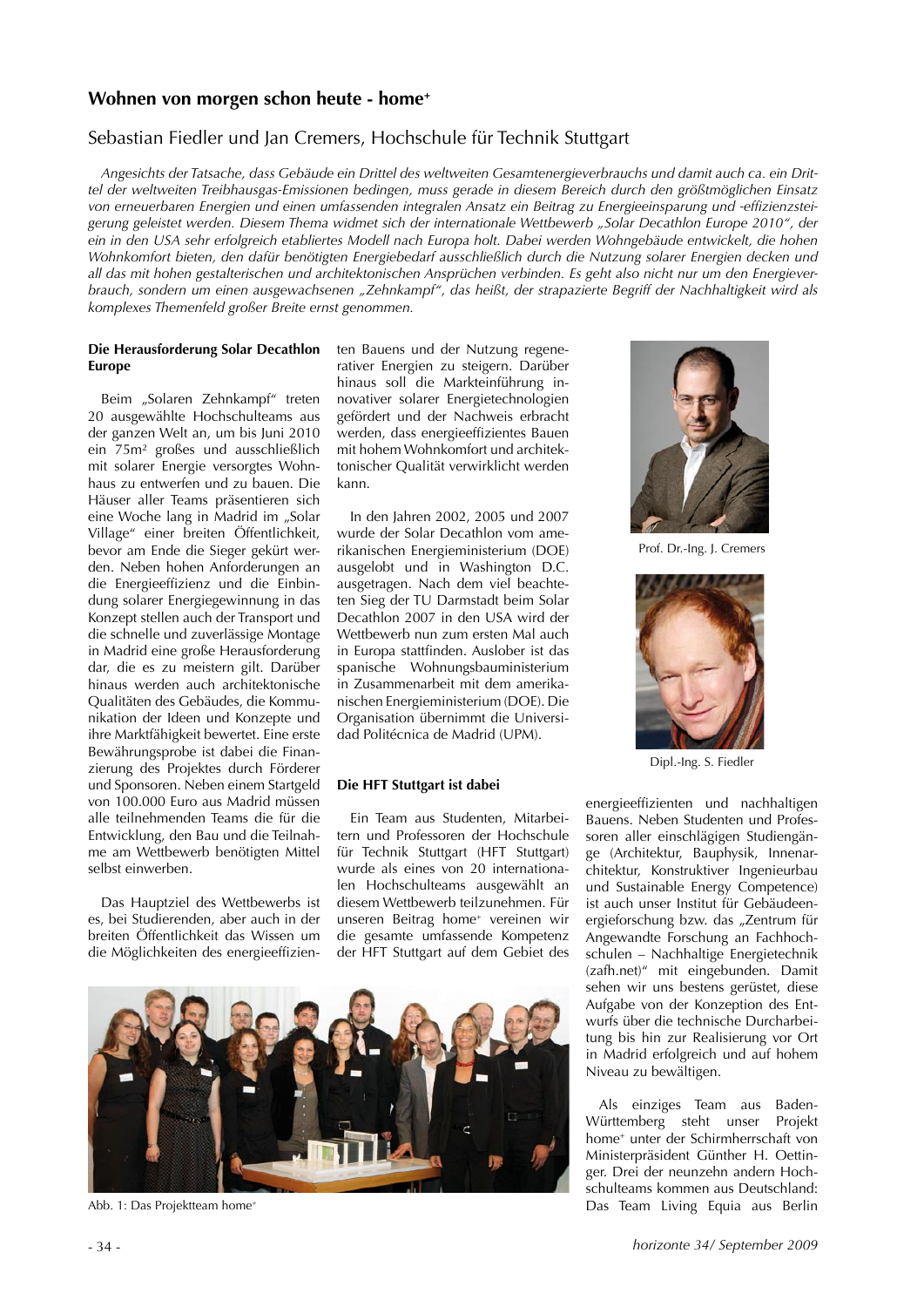# Wohnen von morgen schon heute - home<sup>+</sup>

# Sebastian Fiedler und Jan Cremers, Hochschule für Technik Stuttgart

Angesichts der Tatsache, dass Gebäude ein Drittel des weltweiten Gesamtenergieverbrauchs und damit auch ca. ein Drittel der weltweiten Treibhausgas-Emissionen bedingen, muss gerade in diesem Bereich durch den größtmöglichen Einsatz von erneuerbaren Energien und einen umfassenden integralen Ansatz ein Beitrag zu Energieeinsparung und -effizienzsteigerung geleistet werden. Diesem Thema widmet sich der internationale Wettbewerb "Solar Decathlon Europe 2010", der ein in den USA sehr erfolgreich etabliertes Modell nach Europa holt. Dabei werden Wohngebäude entwickelt, die hohen Wohnkomfort bieten, den dafür benötigten Energiebedarf ausschließlich durch die Nutzung solarer Energien decken und all das mit hohen gestalterischen und architektonischen Ansprüchen verbinden. Es geht also nicht nur um den Energieverbrauch, sondern um einen ausgewachsenen "Zehnkampf", das heißt, der strapazierte Begriff der Nachhaltigkeit wird als komplexes Themenfeld großer Breite ernst genommen.

### Die Herausforderung Solar Decathlon **Europe**

Beim "Solaren Zehnkampf" treten 20 ausgewählte Hochschulteams aus der ganzen Welt an, um bis Juni 2010 ein 75m<sup>2</sup> großes und ausschließlich mit solarer Energie versorgtes Wohnhaus zu entwerfen und zu bauen. Die Häuser aller Teams präsentieren sich eine Woche lang in Madrid im "Solar Village" einer breiten Öffentlichkeit, bevor am Ende die Sieger gekürt werden. Neben hohen Anforderungen an die Energieeffizienz und die Einbindung solarer Energiegewinnung in das Konzept stellen auch der Transport und die schnelle und zuverlässige Montage in Madrid eine große Herausforderung dar, die es zu meistern gilt. Darüber hinaus werden auch architektonische Qualitäten des Gebäudes, die Kommunikation der Ideen und Konzepte und ihre Marktfähigkeit bewertet. Eine erste Bewährungsprobe ist dabei die Finanzierung des Projektes durch Förderer und Sponsoren. Neben einem Startgeld von 100.000 Euro aus Madrid müssen alle teilnehmenden Teams die für die Entwicklung, den Bau und die Teilnahme am Wettbewerb benötigten Mittel selbst einwerben.

Das Hauptziel des Wettbewerbs ist es, bei Studierenden, aber auch in der breiten Öffentlichkeit das Wissen um die Möglichkeiten des energieeffizienten Bauens und der Nutzung regenerativer Energien zu steigern. Darüber hinaus soll die Markteinführung innovativer solarer Energietechnologien gefördert und der Nachweis erbracht werden, dass energieeffizientes Bauen mit hohem Wohnkomfort und architektonischer Qualität verwirklicht werden kann.

In den Jahren 2002, 2005 und 2007 wurde der Solar Decathlon vom amerikanischen Energieministerium (DOE) ausgelobt und in Washington D.C. ausgetragen. Nach dem viel beachteten Sieg der TU Darmstadt beim Solar Decathlon 2007 in den USA wird der Wettbewerb nun zum ersten Mal auch in Europa stattfinden. Auslober ist das spanische Wohnungsbauministerium in Zusammenarbeit mit dem amerikanischen Energieministerium (DOE). Die Organisation übernimmt die Universidad Politécnica de Madrid (UPM).

## Die HFT Stuttgart ist dabei

Ein Team aus Studenten. Mitarbeitern und Professoren der Hochschule für Technik Stuttgart (HFT Stuttgart) wurde als eines von 20 internationalen Hochschulteams ausgewählt an diesem Wettbewerb teilzunehmen. Für unseren Beitrag home<sup>+</sup> vereinen wir die gesamte umfassende Kompetenz der HFT Stuttgart auf dem Gebiet des



Abb. 1: Das Projektteam home<sup>+</sup>



Prof. Dr.-Ing. J. Cremers



Dipl.-Ing. S. Fiedler

energieeffizienten und nachhaltigen Bauens. Neben Studenten und Professoren aller einschlägigen Studiengänge (Architektur, Bauphysik, Innenarchitektur, Konstruktiver Ingenieurbau und Sustainable Energy Competence) ist auch unser Institut für Gebäudeenergieforschung bzw. das "Zentrum für Angewandte Forschung an Fachhochschulen - Nachhaltige Energietechnik (zafh.net)" mit eingebunden. Damit sehen wir uns bestens gerüstet, diese Aufgabe von der Konzeption des Entwurfs über die technische Durcharbeitung bis hin zur Realisierung vor Ort in Madrid erfolgreich und auf hohem Niveau zu bewältigen.

Als einziges Team aus Baden-Württemberg steht unser Projekt home<sup>+</sup> unter der Schirmherrschaft von Ministerpräsident Günther H. Oettinger. Drei der neunzehn andern Hochschulteams kommen aus Deutschland: Das Team Living Equia aus Berlin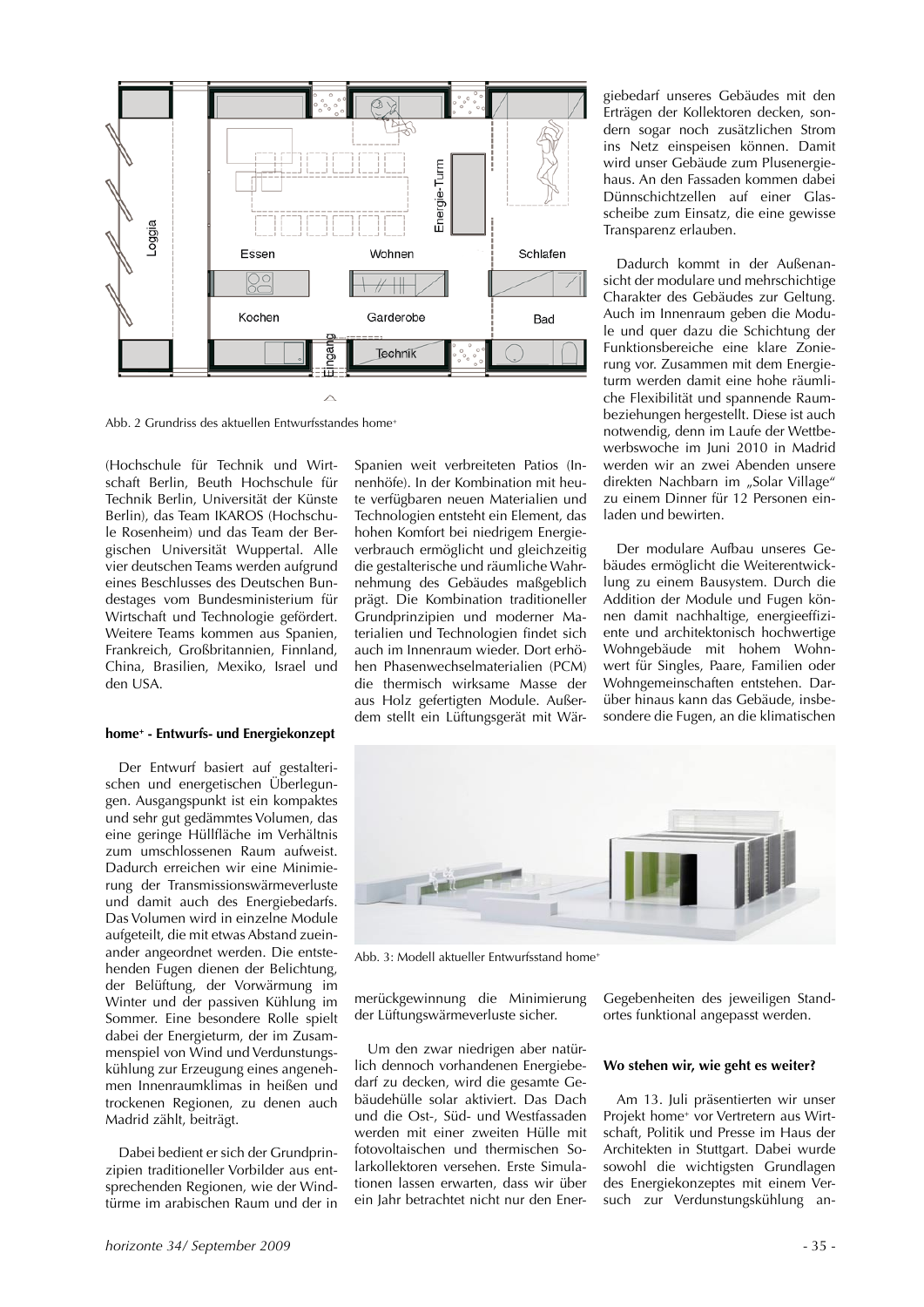

Abb. 2 Grundriss des aktuellen Entwurfsstandes home<sup>+</sup>

(Hochschule für Technik und Wirtschaft Berlin, Beuth Hochschule für Technik Berlin, Universität der Künste Berlin), das Team IKAROS (Hochschule Rosenheim) und das Team der Bergischen Universität Wuppertal, Alle vier deutschen Teams werden aufgrund eines Beschlusses des Deutschen Bundestages vom Bundesministerium für Wirtschaft und Technologie gefördert. Weitere Teams kommen aus Spanien, Frankreich, Großbritannien, Finnland, China, Brasilien, Mexiko, Israel und den USA.

#### $hom$ <sup>+</sup> - Entwurfs- und Energiekonzept

Der Entwurf basiert auf gestalterischen und energetischen Überlegungen. Ausgangspunkt ist ein kompaktes und sehr gut gedämmtes Volumen, das eine geringe Hüllfläche im Verhältnis zum umschlossenen Raum aufweist. Dadurch erreichen wir eine Minimierung der Transmissionswärmeverluste und damit auch des Energiebedarfs. Das Volumen wird in einzelne Module aufgeteilt, die mit etwas Abstand zueinander angeordnet werden. Die entstehenden Fugen dienen der Belichtung, der Belüftung, der Vorwärmung im Winter und der passiven Kühlung im Sommer. Eine besondere Rolle spielt dabei der Energieturm, der im Zusammenspiel von Wind und Verdunstungskühlung zur Erzeugung eines angenehmen Innenraumklimas in heißen und trockenen Regionen, zu denen auch Madrid zählt, beiträgt.

Dabei bedient er sich der Grundprinzipien traditioneller Vorbilder aus entsprechenden Regionen, wie der Wind $t$ ürme im arabischen Raum und der in Spanien weit verbreiteten Patios (Innenhöfe). In der Kombination mit heute verfügbaren neuen Materialien und Technologien entsteht ein Element, das hohen Komfort bei niedrigem Energieverbrauch ermöglicht und gleichzeitig die gestalterische und räumliche Wahrnehmung des Gebäudes maßgeblich prägt. Die Kombination traditioneller Grundprinzipien und moderner Materialien und Technologien findet sich auch im Innenraum wieder. Dort erhöhen Phasenwechselmaterialien (PCM) die thermisch wirksame Masse der aus Holz gefertigten Module. Außerdem stellt ein Lüftungsgerät mit Wärgiebedarf unseres Gebäudes mit den Erträgen der Kollektoren decken, sondern sogar noch zusätzlichen Strom ins Netz einspeisen können. Damit wird unser Gebäude zum Plusenergiehaus. An den Fassaden kommen dabei Dünnschichtzellen auf einer Glasscheibe zum Einsatz, die eine gewisse Transparenz erlauben.

Dadurch kommt in der Außenansicht der modulare und mehrschichtige Charakter des Gebäudes zur Geltung. Auch im Innenraum geben die Module und quer dazu die Schichtung der Funktionsbereiche eine klare Zonierung vor. Zusammen mit dem Energieturm werden damit eine hohe räumliche Flexibilität und spannende Raumbeziehungen hergestellt. Diese ist auch notwendig, denn im Laufe der Wettbewerbswoche im Juni 2010 in Madrid werden wir an zwei Abenden unsere direkten Nachbarn im "Solar Village" zu einem Dinner für 12 Personen einladen und bewirten.

Der modulare Aufbau unseres Gebäudes ermöglicht die Weiterentwicklung zu einem Bausystem. Durch die Addition der Module und Fugen können damit nachhaltige, energieeffiziente und architektonisch hochwertige Wohngebäude mit hohem Wohnwert für Singles, Paare, Familien oder Wohngemeinschaften entstehen. Darüber hinaus kann das Gebäude, insbesondere die Fugen, an die klimatischen



Abb. 3: Modell aktueller Entwurfsstand home<sup>+</sup>

merückgewinnung die Minimierung der Lüftungswärmeverluste sicher.

Um den zwar niedrigen aber natürlich dennoch vorhandenen Energiebedarf zu decken, wird die gesamte Gebäudehülle solar aktiviert. Das Dach und die Ost-, Süd- und Westfassaden werden mit einer zweiten Hülle mit fotovoltaischen und thermischen So-Jarkollektoren versehen. Erste Simulationen lassen erwarten, dass wir über ein Jahr betrachtet nicht nur den EnerGegebenheiten des jeweiligen Standortes funktional angepasst werden.

### Wo stehen wir, wie geht es weiter?

Am 13. Juli präsentierten wir unser Projekt home<sup>+</sup> vor Vertretern aus Wirtschaft. Politik und Presse im Haus der Architekten in Stuttgart. Dabei wurde sowohl die wichtigsten Grundlagen des Energiekonzeptes mit einem Versuch zur Verdunstungskühlung an-